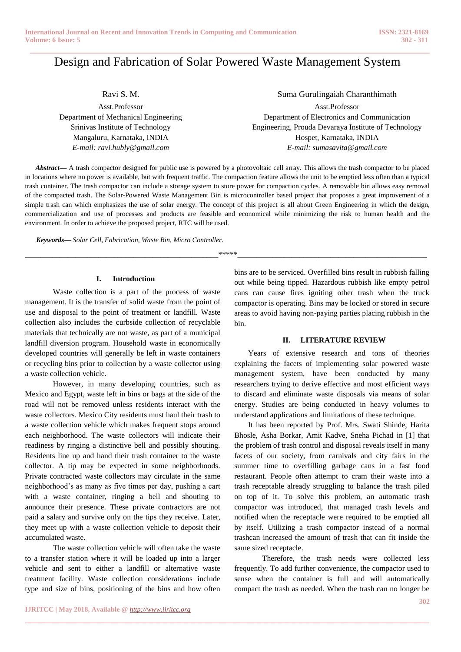# **\_\_\_\_\_\_\_\_\_\_\_\_\_\_\_\_\_\_\_\_\_\_\_\_\_\_\_\_\_\_\_\_\_\_\_\_\_\_\_\_\_\_\_\_\_\_\_\_\_\_\_\_\_\_\_\_\_\_\_\_\_\_\_\_\_\_\_\_\_\_\_\_\_\_\_\_\_\_\_\_\_\_\_\_\_\_** Design and Fabrication of Solar Powered Waste Management System

Ravi S. M.

Asst.Professor Department of Mechanical Engineering Srinivas Institute of Technology Mangaluru, Karnataka, INDIA *E-mail: ravi.hubly@gmail.com*

Suma Gurulingaiah Charanthimath Asst.Professor Department of Electronics and Communication Engineering, Prouda Devaraya Institute of Technology Hospet, Karnataka, INDIA *E-mail: sumasavita@gmail.com*

*Abstract***—** A trash compactor designed for public use is powered by a photovoltaic cell array. This allows the trash compactor to be placed in locations where no power is available, but with frequent traffic. The compaction feature allows the unit to be emptied less often than a typical trash container. The trash compactor can include a storage system to store power for compaction cycles. A removable bin allows easy removal of the compacted trash. The Solar-Powered Waste Management Bin is microcontroller based project that proposes a great improvement of a simple trash can which emphasizes the use of solar energy. The concept of this project is all about Green Engineering in which the design, commercialization and use of processes and products are feasible and economical while minimizing the risk to human health and the environment. In order to achieve the proposed project, RTC will be used.

\_\_\_\_\_\_\_\_\_\_\_\_\_\_\_\_\_\_\_\_\_\_\_\_\_\_\_\_\_\_\_\_\_\_\_\_\_\_\_\_\_\_\_\_\_\_\_\_\_\_\*\*\*\*\*\_\_\_\_\_\_\_\_\_\_\_\_\_\_\_\_\_\_\_\_\_\_\_\_\_\_\_\_\_\_\_\_\_\_\_\_\_\_\_\_\_\_\_\_\_\_\_\_\_

**\_\_\_\_\_\_\_\_\_\_\_\_\_\_\_\_\_\_\_\_\_\_\_\_\_\_\_\_\_\_\_\_\_\_\_\_\_\_\_\_\_\_\_\_\_\_\_\_\_\_\_\_\_\_\_\_\_\_\_\_\_\_\_\_\_\_\_\_\_\_\_\_\_\_\_\_\_\_\_\_\_\_\_\_\_\_\_**

*Keywords— Solar Cell, Fabrication, Waste Bin, Micro Controller.*

### **I. Introduction**

Waste collection is a part of the process of [waste](https://en.wikipedia.org/wiki/Waste_management)  [management.](https://en.wikipedia.org/wiki/Waste_management) It is the transfer of [solid waste](https://en.wikipedia.org/wiki/Solid_waste) from the point of use and disposal to the point of [treatment](https://en.wikipedia.org/wiki/List_of_waste_treatment_technologies) or [landfill.](https://en.wikipedia.org/wiki/Landfill) Waste collection also includes the [curbside collection](https://en.wikipedia.org/wiki/Curbside_collection) of [recyclable](https://en.wikipedia.org/wiki/Recyclable_waste) materials that technically are not [waste,](https://en.wikipedia.org/wiki/Waste) as part of a municipal [landfill diversion](https://en.wikipedia.org/wiki/Landfill_diversion) program. [Household waste](https://en.wikipedia.org/wiki/Household_waste) in economically developed countries will generally be left in [waste containers](https://en.wikipedia.org/wiki/Waste_container) or recycling bins prior to collection by a [waste collector](https://en.wikipedia.org/wiki/Waste_collector) using a [waste collection vehicle.](https://en.wikipedia.org/wiki/Waste_collection_vehicle)

However, in many developing countries, such as [Mexico](https://en.wikipedia.org/wiki/Mexico) and [Egypt,](https://en.wikipedia.org/wiki/Egypt) waste left in bins or bags at the side of the road will not be removed unless residents interact with the waste collectors. [Mexico City](https://en.wikipedia.org/wiki/Mexico_City) residents must haul their trash to a waste collection vehicle which makes frequent stops around each neighborhood. The waste collectors will indicate their readiness by ringing a distinctive bell and possibly shouting. Residents line up and hand their trash container to the waste collector. A tip may be expected in some neighborhoods. Private contracted waste collectors may circulate in the same neighborhood"s as many as five times per day, pushing a cart with a waste container, ringing a bell and shouting to announce their presence. These private contractors are not paid a salary and survive only on the tips they receive. Later, they meet up with a waste collection vehicle to deposit their accumulated waste.

The waste collection vehicle will often take the waste to a [transfer station](https://en.wikipedia.org/wiki/Transfer_station_%28waste_management%29) where it will be loaded up into a larger vehicle and sent to either a landfill or alternative waste treatment facility. Waste collection considerations include type and size of bins, positioning of the bins and how often

bins are to be serviced. Overfilled bins result in rubbish falling out while being tipped. Hazardous rubbish like empty petrol cans can cause fires igniting other trash when the truck compactor is operating. Bins may be locked or stored in secure areas to avoid having non-paying parties placing rubbish in the bin.

### **II. LITERATURE REVIEW**

Years of extensive research and tons of theories explaining the facets of implementing solar powered waste management system, have been conducted by many researchers trying to derive effective and most efficient ways to discard and eliminate waste disposals via means of solar energy. Studies are being conducted in heavy volumes to understand applications and limitations of these technique.

It has been reported by Prof. Mrs. Swati Shinde, Harita Bhosle, Asha Borkar, Amit Kadve, Sneha Pichad in [1] that the problem of trash control and disposal reveals itself in many facets of our society, from carnivals and city fairs in the summer time to overfilling garbage cans in a fast food restaurant. People often attempt to cram their waste into a trash receptable already struggling to balance the trash piled on top of it. To solve this problem, an automatic trash compactor was introduced, that managed trash levels and notified when the receptacle were required to be emptied all by itself. Utilizing a trash compactor instead of a normal trashcan increased the amount of trash that can fit inside the same sized receptacle.

Therefore, the trash needs were collected less frequently. To add further convenience, the compactor used to sense when the container is full and will automatically compact the trash as needed. When the trash can no longer be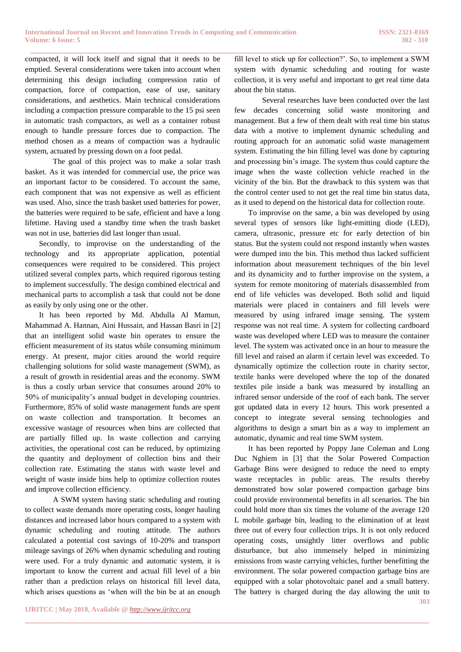**\_\_\_\_\_\_\_\_\_\_\_\_\_\_\_\_\_\_\_\_\_\_\_\_\_\_\_\_\_\_\_\_\_\_\_\_\_\_\_\_\_\_\_\_\_\_\_\_\_\_\_\_\_\_\_\_\_\_\_\_\_\_\_\_\_\_\_\_\_\_\_\_\_\_\_\_\_\_\_\_\_\_\_\_\_\_** compacted, it will lock itself and signal that it needs to be emptied. Several considerations were taken into account when determining this design including compression ratio of compaction, force of compaction, ease of use, sanitary considerations, and aesthetics. Main technical considerations including a compaction pressure comparable to the 15 psi seen in automatic trash compactors, as well as a container robust enough to handle pressure forces due to compaction. The method chosen as a means of compaction was a hydraulic system, actuated by pressing down on a foot pedal.

The goal of this project was to make a solar trash basket. As it was intended for commercial use, the price was an important factor to be considered. To account the same, each component that was not expensive as well as efficient was used. Also, since the trash basket used batteries for power, the batteries were required to be safe, efficient and have a long lifetime. Having used a standby time when the trash basket was not in use, batteries did last longer than usual.

Secondly, to improvise on the understanding of the technology and its appropriate application, potential consequences were required to be considered. This project utilized several complex parts, which required rigorous testing to implement successfully. The design combined electrical and mechanical parts to accomplish a task that could not be done as easily by only using one or the other.

It has been reported by Md. Abdulla Al Mamun, Mahammad A. Hannan, Aini Hussain, and Hassan Basri in [2] that an intelligent solid waste bin operates to ensure the efficient measurement of its status while consuming minimum energy. At present, major cities around the world require challenging solutions for solid waste management (SWM), as a result of growth in residential areas and the economy. SWM is thus a costly urban service that consumes around 20% to 50% of municipality"s annual budget in developing countries. Furthermore, 85% of solid waste management funds are spent on waste collection and transportation. It becomes an excessive wastage of resources when bins are collected that are partially filled up. In waste collection and carrying activities, the operational cost can be reduced, by optimizing the quantity and deployment of collection bins and their collection rate. Estimating the status with waste level and weight of waste inside bins help to optimize collection routes and improve collection efficiency.

A SWM system having static scheduling and routing to collect waste demands more operating costs, longer hauling distances and increased labor hours compared to a system with dynamic scheduling and routing attitude. The authors calculated a potential cost savings of 10-20% and transport mileage savings of 26% when dynamic scheduling and routing were used. For a truly dynamic and automatic system, it is important to know the current and actual fill level of a bin rather than a prediction relays on historical fill level data, which arises questions as "when will the bin be at an enough

**\_\_\_\_\_\_\_\_\_\_\_\_\_\_\_\_\_\_\_\_\_\_\_\_\_\_\_\_\_\_\_\_\_\_\_\_\_\_\_\_\_\_\_\_\_\_\_\_\_\_\_\_\_\_\_\_\_\_\_\_\_\_\_\_\_\_\_\_\_\_\_\_\_\_\_\_\_\_\_\_\_\_\_\_\_\_\_**

fill level to stick up for collection?'. So, to implement a SWM system with dynamic scheduling and routing for waste collection, it is very useful and important to get real time data about the bin status.

Several researches have been conducted over the last few decades concerning solid waste monitoring and management. But a few of them dealt with real time bin status data with a motive to implement dynamic scheduling and routing approach for an automatic solid waste management system. Estimating the bin filling level was done by capturing and processing bin"s image. The system thus could capture the image when the waste collection vehicle reached in the vicinity of the bin. But the drawback to this system was that the control center used to not get the real time bin status data, as it used to depend on the historical data for collection route.

To improvise on the same, a bin was developed by using several types of sensors like light-emitting diode (LED), camera, ultrasonic, pressure etc for early detection of bin status. But the system could not respond instantly when wastes were dumped into the bin. This method thus lacked sufficient information about measurement techniques of the bin level and its dynamicity and to further improvise on the system, a system for remote monitoring of materials disassembled from end of life vehicles was developed. Both solid and liquid materials were placed in containers and fill levels were measured by using infrared image sensing. The system response was not real time. A system for collecting cardboard waste was developed where LED was to measure the container level. The system was activated once in an hour to measure the fill level and raised an alarm if certain level was exceeded. To dynamically optimize the collection route in charity sector, textile banks were developed where the top of the donated textiles pile inside a bank was measured by installing an infrared sensor underside of the roof of each bank. The server got updated data in every 12 hours. This work presented a concept to integrate several sensing technologies and algorithms to design a smart bin as a way to implement an automatic, dynamic and real time SWM system.

**303** It has been reported by Poppy Jane Coleman and Long Duc Nghiem in [3] that the Solar Powered Compaction Garbage Bins were designed to reduce the need to empty waste receptacles in public areas. The results thereby demonstrated how solar powered compaction garbage bins could provide environmental benefits in all scenarios. The bin could hold more than six times the volume of the average 120 L mobile garbage bin, leading to the elimination of at least three out of every four collection trips. It is not only reduced operating costs, unsightly litter overflows and public disturbance, but also immensely helped in minimizing emissions from waste carrying vehicles, further benefitting the environment. The solar powered compaction garbage bins are equipped with a solar photovoltaic panel and a small battery. The battery is charged during the day allowing the unit to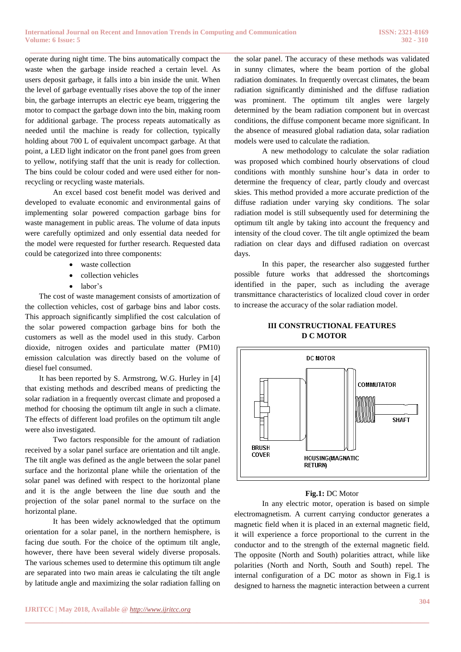**\_\_\_\_\_\_\_\_\_\_\_\_\_\_\_\_\_\_\_\_\_\_\_\_\_\_\_\_\_\_\_\_\_\_\_\_\_\_\_\_\_\_\_\_\_\_\_\_\_\_\_\_\_\_\_\_\_\_\_\_\_\_\_\_\_\_\_\_\_\_\_\_\_\_\_\_\_\_\_\_\_\_\_\_\_\_\_**

operate during night time. The bins automatically compact the waste when the garbage inside reached a certain level. As users deposit garbage, it falls into a bin inside the unit. When the level of garbage eventually rises above the top of the inner bin, the garbage interrupts an electric eye beam, triggering the motor to compact the garbage down into the bin, making room for additional garbage. The process repeats automatically as needed until the machine is ready for collection, typically holding about 700 L of equivalent uncompact garbage. At that point, a LED light indicator on the front panel goes from green to yellow, notifying staff that the unit is ready for collection. The bins could be colour coded and were used either for nonrecycling or recycling waste materials.

An excel based cost benefit model was derived and developed to evaluate economic and environmental gains of implementing solar powered compaction garbage bins for waste management in public areas. The volume of data inputs were carefully optimized and only essential data needed for the model were requested for further research. Requested data could be categorized into three components:

- waste collection
- collection vehicles
- $\bullet$  labor's

The cost of waste management consists of amortization of the collection vehicles, cost of garbage bins and labor costs. This approach significantly simplified the cost calculation of the solar powered compaction garbage bins for both the customers as well as the model used in this study. Carbon dioxide, nitrogen oxides and particulate matter (PM10) emission calculation was directly based on the volume of diesel fuel consumed.

It has been reported by S. Armstrong, W.G. Hurley in [4] that existing methods and described means of predicting the solar radiation in a frequently overcast climate and proposed a method for choosing the optimum tilt angle in such a climate. The effects of different load profiles on the optimum tilt angle were also investigated.

Two factors responsible for the amount of radiation received by a solar panel surface are orientation and tilt angle. The tilt angle was defined as the angle between the solar panel surface and the horizontal plane while the orientation of the solar panel was defined with respect to the horizontal plane and it is the angle between the line due south and the projection of the solar panel normal to the surface on the horizontal plane.

It has been widely acknowledged that the optimum orientation for a solar panel, in the northern hemisphere, is facing due south. For the choice of the optimum tilt angle, however, there have been several widely diverse proposals. The various schemes used to determine this optimum tilt angle are separated into two main areas ie calculating the tilt angle by latitude angle and maximizing the solar radiation falling on

the solar panel. The accuracy of these methods was validated in sunny climates, where the beam portion of the global radiation dominates. In frequently overcast climates, the beam radiation significantly diminished and the diffuse radiation was prominent. The optimum tilt angles were largely determined by the beam radiation component but in overcast conditions, the diffuse component became more significant. In the absence of measured global radiation data, solar radiation models were used to calculate the radiation.

A new methodology to calculate the solar radiation was proposed which combined hourly observations of cloud conditions with monthly sunshine hour"s data in order to determine the frequency of clear, partly cloudy and overcast skies. This method provided a more accurate prediction of the diffuse radiation under varying sky conditions. The solar radiation model is still subsequently used for determining the optimum tilt angle by taking into account the frequency and intensity of the cloud cover. The tilt angle optimized the beam radiation on clear days and diffused radiation on overcast days.

In this paper, the researcher also suggested further possible future works that addressed the shortcomings identified in the paper, such as including the average transmittance characteristics of localized cloud cover in order to increase the accuracy of the solar radiation model.

# **III CONSTRUCTIONAL FEATURES D C MOTOR**



#### **Fig.1:** DC Motor

In any electric motor, operation is based on simple electromagnetism. A current carrying conductor generates a magnetic field when it is placed in an external magnetic field, it will experience a force proportional to the current in the conductor and to the strength of the external magnetic field. The opposite (North and South) polarities attract, while like polarities (North and North, South and South) repel. The internal configuration of a DC motor as shown in Fig.1 is designed to harness the magnetic interaction between a current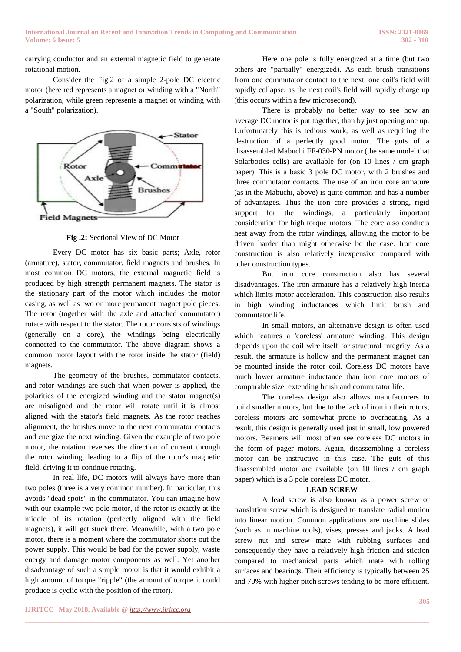**\_\_\_\_\_\_\_\_\_\_\_\_\_\_\_\_\_\_\_\_\_\_\_\_\_\_\_\_\_\_\_\_\_\_\_\_\_\_\_\_\_\_\_\_\_\_\_\_\_\_\_\_\_\_\_\_\_\_\_\_\_\_\_\_\_\_\_\_\_\_\_\_\_\_\_\_\_\_\_\_\_\_\_\_\_\_\_**

carrying conductor and an external magnetic field to generate rotational motion.

Consider the Fig.2 of a simple 2-pole DC electric motor (here red represents a magnet or winding with a "North" polarization, while green represents a magnet or winding with a "South" polarization).



**Fig .2:** Sectional View of DC Motor

Every DC motor has six basic parts; Axle, rotor (armature), stator, commutator, field magnets and brushes. In most common DC motors, the external magnetic field is produced by high strength permanent magnets. The stator is the stationary part of the motor which includes the motor casing, as well as two or more permanent magnet pole pieces. The rotor (together with the axle and attached commutator) rotate with respect to the stator. The rotor consists of windings (generally on a core), the windings being electrically connected to the commutator. The above diagram shows a common motor layout with the rotor inside the stator (field) magnets.

The geometry of the brushes, commutator contacts, and rotor windings are such that when power is applied, the polarities of the energized winding and the stator magnet(s) are misaligned and the rotor will rotate until it is almost aligned with the stator's field magnets. As the rotor reaches alignment, the brushes move to the next commutator contacts and energize the next winding. Given the example of two pole motor, the rotation reverses the direction of current through the rotor winding, leading to a flip of the rotor's magnetic field, driving it to continue rotating.

In real life, DC motors will always have more than two poles (three is a very common number). In particular, this avoids "dead spots" in the commutator. You can imagine how with our example two pole motor, if the rotor is exactly at the middle of its rotation (perfectly aligned with the field magnets), it will get stuck there. Meanwhile, with a two pole motor, there is a moment where the commutator shorts out the power supply. This would be bad for the power supply, waste energy and damage motor components as well. Yet another disadvantage of such a simple motor is that it would exhibit a high amount of torque "ripple" (the amount of torque it could produce is cyclic with the position of the rotor).

Here one pole is fully energized at a time (but two others are "partially" energized). As each brush transitions from one commutator contact to the next, one coil's field will rapidly collapse, as the next coil's field will rapidly charge up (this occurs within a few microsecond).

There is probably no better way to see how an average DC motor is put together, than by just opening one up. Unfortunately this is tedious work, as well as requiring the destruction of a perfectly good motor. The guts of a disassembled Mabuchi FF-030-PN motor (the same model that Solarbotics cells) are available for (on 10 lines / cm graph paper). This is a basic 3 pole DC motor, with 2 brushes and three commutator contacts. The use of an iron core armature (as in the Mabuchi, above) is quite common and has a number of advantages. Thus the iron core provides a strong, rigid support for the windings, a particularly important consideration for high torque motors. The core also conducts heat away from the rotor windings, allowing the motor to be driven harder than might otherwise be the case. Iron core construction is also relatively inexpensive compared with other construction types.

But iron core construction also has several disadvantages. The iron armature has a relatively high inertia which limits motor acceleration. This construction also results in high winding inductances which limit brush and commutator life.

In small motors, an alternative design is often used which features a 'coreless' armature winding. This design depends upon the coil wire itself for structural integrity. As a result, the armature is hollow and the permanent magnet can be mounted inside the rotor coil. Coreless DC motors have much lower armature inductance than iron core motors of comparable size, extending brush and commutator life.

The coreless design also allows manufacturers to build smaller motors, but due to the lack of iron in their rotors, coreless motors are somewhat prone to overheating. As a result, this design is generally used just in small, low powered motors. Beamers will most often see coreless DC motors in the form of pager motors. Again, disassembling a coreless motor can be instructive in this case. The guts of this disassembled motor are available (on 10 lines / cm graph paper) which is a 3 pole coreless DC motor.

### **LEAD SCREW**

A lead screw is also known as a power screw or translation screw which is designed to translate radial motion into linear motion. Common applications are machine slides (such as in machine tools), vises, presses and jacks. A lead screw nut and screw mate with rubbing surfaces and consequently they have a relatively high friction and stiction compared to mechanical parts which mate with rolling surfaces and bearings. Their efficiency is typically between 25 and 70% with higher pitch screws tending to be more efficient.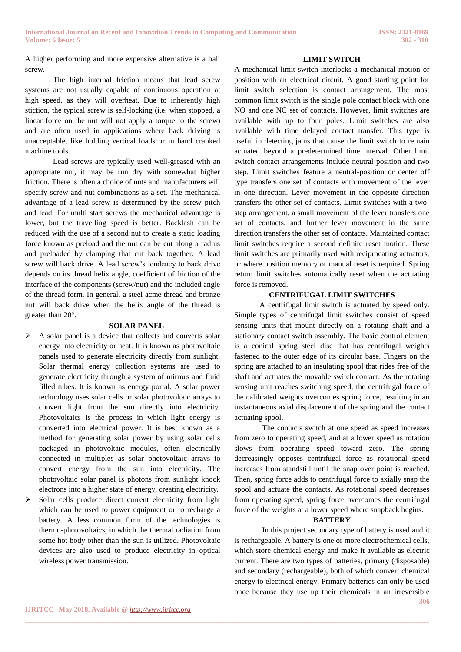A higher performing and more expensive alternative is a ball screw.

The high internal friction means that lead screw systems are not usually capable of continuous operation at high speed, as they will overheat. Due to inherently high stiction, the typical screw is self-locking (i.e. when stopped, a linear force on the nut will not apply a torque to the screw) and are often used in applications where back driving is unacceptable, like holding vertical loads or in hand cranked machine tools.

Lead screws are typically used well-greased with an appropriate nut, it may be run dry with somewhat higher friction. There is often a choice of nuts and manufacturers will specify screw and nut combinations as a set. The mechanical advantage of a lead screw is determined by the screw pitch and lead. For multi start screws the mechanical advantage is lower, but the travelling speed is better. Backlash can be reduced with the use of a second nut to create a static loading force known as preload and the nut can be cut along a radius and preloaded by clamping that cut back together. A lead screw will back drive. A lead screw's tendency to back drive depends on its thread helix angle, coefficient of friction of the interface of the components (screw/nut) and the included angle of the thread form. In general, a steel acme thread and bronze nut will back drive when the helix angle of the thread is greater than 20°.

#### **SOLAR PANEL**

- $\triangleright$  A solar panel is a device that collects and converts solar energy into electricity or heat. It is known as photovoltaic panels used to generate electricity directly from sunlight. Solar thermal energy collection systems are used to generate electricity through a system of mirrors and fluid filled tubes. It is known as energy portal. A solar power technology uses solar cells or solar photovoltaic arrays to convert light from the sun directly into electricity. Photovoltaics is the process in which light energy is converted into electrical power. It is best known as a method for generating solar power by using solar cells packaged in photovoltaic modules, often electrically connected in multiples as solar photovoltaic arrays to convert energy from the sun into electricity. The photovoltaic solar panel is photons from sunlight knock electrons into a higher state of energy, creating electricity.
- $\triangleright$  Solar cells produce direct current electricity from light which can be used to power equipment or to recharge a battery. A less common form of the technologies is thermo-photovoltaics, in which the thermal radiation from some hot body other than the sun is utilized. Photovoltaic devices are also used to produce electricity in optical wireless power transmission.

A mechanical limit switch interlocks a mechanical motion or position with an electrical circuit. A good starting point for limit switch selection is contact arrangement. The most common limit switch is the single pole contact block with one NO and one NC set of contacts. However, limit switches are available with up to four poles. Limit switches are also available with time delayed contact transfer. This type is useful in detecting jams that cause the limit switch to remain actuated beyond a predetermined time interval. Other limit switch contact arrangements include neutral position and two step. Limit switches feature a neutral-position or center off type transfers one set of contacts with movement of the lever in one direction. Lever movement in the opposite direction transfers the other set of contacts. Limit switches with a twostep arrangement, a small movement of the lever transfers one set of contacts, and further lever movement in the same direction transfers the other set of contacts. Maintained contact limit switches require a second definite reset motion. These limit switches are primarily used with reciprocating actuators, or where position memory or manual reset is required. Spring return limit switches automatically reset when the actuating force is removed.

**LIMIT SWITCH**

#### **CENTRIFUGAL LIMIT SWITCHES**

 A centrifugal limit switch is actuated by speed only. Simple types of centrifugal limit switches consist of speed sensing units that mount directly on a rotating shaft and a stationary contact switch assembly. The basic control element is a conical spring steel disc that has centrifugal weights fastened to the outer edge of its circular base. Fingers on the spring are attached to an insulating spool that rides free of the shaft and actuates the movable switch contact. As the rotating sensing unit reaches switching speed, the centrifugal force of the calibrated weights overcomes spring force, resulting in an instantaneous axial displacement of the spring and the contact actuating spool.

The contacts switch at one speed as speed increases from zero to operating speed, and at a lower speed as rotation slows from operating speed toward zero. The spring decreasingly opposes centrifugal force as rotational speed increases from standstill until the snap over point is reached. Then, spring force adds to centrifugal force to axially snap the spool and actuate the contacts. As rotational speed decreases from operating speed, spring force overcomes the centrifugal force of the weights at a lower speed where snapback begins.

### **BATTERY**

**306** In this project secondary type of battery is used and it is rechargeable. A battery is one or more electrochemical cells, which store chemical energy and make it available as electric current. There are two types of batteries, primary (disposable) and secondary (rechargeable), both of which convert chemical energy to electrical energy. Primary batteries can only be used once because they use up their chemicals in an irreversible

**\_\_\_\_\_\_\_\_\_\_\_\_\_\_\_\_\_\_\_\_\_\_\_\_\_\_\_\_\_\_\_\_\_\_\_\_\_\_\_\_\_\_\_\_\_\_\_\_\_\_\_\_\_\_\_\_\_\_\_\_\_\_\_\_\_\_\_\_\_\_\_\_\_\_\_\_\_\_\_\_\_\_\_\_\_\_\_**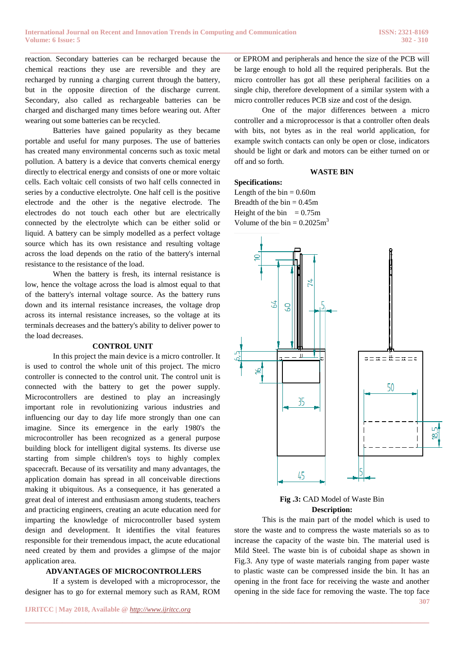reaction. Secondary batteries can be recharged because the chemical reactions they use are reversible and they are recharged by running a charging current through the battery, but in the opposite direction of the discharge current. Secondary, also called as rechargeable batteries can be charged and discharged many times before wearing out. After wearing out some batteries can be recycled.

Batteries have gained popularity as they became portable and useful for many purposes. The use of batteries has created many environmental concerns such as toxic metal pollution. A battery is a device that converts chemical energy directly to electrical energy and consists of one or more voltaic cells. Each voltaic cell consists of two half cells connected in series by a conductive electrolyte. One half cell is the positive electrode and the other is the negative electrode. The electrodes do not touch each other but are electrically connected by the electrolyte which can be either solid or liquid. A battery can be simply modelled as a perfect voltage source which has its own resistance and resulting voltage across the load depends on the ratio of the battery's internal resistance to the resistance of the load.

When the battery is fresh, its internal resistance is low, hence the voltage across the load is almost equal to that of the battery's internal voltage source. As the battery runs down and its internal resistance increases, the voltage drop across its internal resistance increases, so the voltage at its terminals decreases and the battery's ability to deliver power to the load decreases.

#### **CONTROL UNIT**

In this project the main device is a micro controller. It is used to control the whole unit of this project. The micro controller is connected to the control unit. The control unit is connected with the battery to get the power supply. Microcontrollers are destined to play an increasingly important role in revolutionizing various industries and influencing our day to day life more strongly than one can imagine. Since its emergence in the early 1980's the microcontroller has been recognized as a general purpose building block for intelligent digital systems. Its diverse use starting from simple children's toys to highly complex spacecraft. Because of its versatility and many advantages, the application domain has spread in all conceivable directions making it ubiquitous. As a consequence, it has generated a great deal of interest and enthusiasm among students, teachers and practicing engineers, creating an acute education need for imparting the knowledge of microcontroller based system design and development. It identifies the vital features responsible for their tremendous impact, the acute educational need created by them and provides a glimpse of the major application area.

#### **ADVANTAGES OF MICROCONTROLLERS**

If a system is developed with a microprocessor, the designer has to go for external memory such as RAM, ROM

**\_\_\_\_\_\_\_\_\_\_\_\_\_\_\_\_\_\_\_\_\_\_\_\_\_\_\_\_\_\_\_\_\_\_\_\_\_\_\_\_\_\_\_\_\_\_\_\_\_\_\_\_\_\_\_\_\_\_\_\_\_\_\_\_\_\_\_\_\_\_\_\_\_\_\_\_\_\_\_\_\_\_\_\_\_\_\_**

or EPROM and peripherals and hence the size of the PCB will be large enough to hold all the required peripherals. But the micro controller has got all these peripheral facilities on a single chip, therefore development of a similar system with a micro controller reduces PCB size and cost of the design.

One of the major differences between a micro controller and a microprocessor is that a controller often deals with bits, not bytes as in the real world application, for example switch contacts can only be open or close, indicators should be light or dark and motors can be either turned on or off and so forth.

#### **WASTE BIN**

#### **Specifications:**

Length of the  $bin = 0.60m$ Breadth of the bin  $= 0.45$ m Height of the bin  $= 0.75$ m Volume of the bin  $= 0.2025 \text{m}^3$ 



**Fig .3:** CAD Model of Waste Bin  **Description:**

**307** This is the main part of the model which is used to store the waste and to compress the waste materials so as to increase the capacity of the waste bin. The material used is Mild Steel. The waste bin is of cuboidal shape as shown in Fig.3. Any type of waste materials ranging from paper waste to plastic waste can be compressed inside the bin. It has an opening in the front face for receiving the waste and another opening in the side face for removing the waste. The top face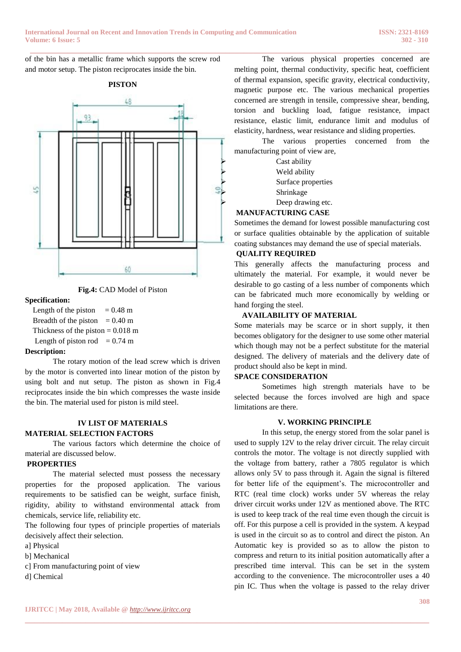of the bin has a metallic frame which supports the screw rod and motor setup. The piston reciprocates inside the bin.



**Fig.4:** CAD Model of Piston

### **Specification:**

Length of the piston  $= 0.48$  m Breadth of the piston  $= 0.40$  m Thickness of the piston  $= 0.018$  m Length of piston rod  $= 0.74$  m

# **Description:**

The rotary motion of the lead screw which is driven by the motor is converted into linear motion of the piston by using bolt and nut setup. The piston as shown in Fig.4 reciprocates inside the bin which compresses the waste inside the bin. The material used for piston is mild steel.

### **IV LIST OF MATERIALS MATERIAL SELECTION FACTORS**

The various factors which determine the choice of material are discussed below.

# **PROPERTIES**

The material selected must possess the necessary properties for the proposed application. The various requirements to be satisfied can be weight, surface finish, rigidity, ability to withstand environmental attack from chemicals, service life, reliability etc.

The following four types of principle properties of materials decisively affect their selection.

- a] Physical
- b] Mechanical
- c] From manufacturing point of view
- d] Chemical

The various physical properties concerned are melting point, thermal conductivity, specific heat, coefficient of thermal expansion, specific gravity, electrical conductivity, magnetic purpose etc. The various mechanical properties concerned are strength in tensile, compressive shear, bending, torsion and buckling load, fatigue resistance, impact resistance, elastic limit, endurance limit and modulus of elasticity, hardness, wear resistance and sliding properties.

The various properties concerned from the manufacturing point of view are,

 Cast ability Weld ability  $\sum_{\text{Shrinkage}}$  Shrinkage Deep drawing etc.

# **MANUFACTURING CASE**

Sometimes the demand for lowest possible manufacturing cost or surface qualities obtainable by the application of suitable coating substances may demand the use of special materials.

# **QUALITY REQUIRED**

This generally affects the manufacturing process and ultimately the material. For example, it would never be desirable to go casting of a less number of components which can be fabricated much more economically by welding or hand forging the steel.

# **AVAILABILITY OF MATERIAL**

Some materials may be scarce or in short supply, it then becomes obligatory for the designer to use some other material which though may not be a perfect substitute for the material designed. The delivery of materials and the delivery date of product should also be kept in mind.

# **SPACE CONSIDERATION**

Sometimes high strength materials have to be selected because the forces involved are high and space limitations are there.

# **V. WORKING PRINCIPLE**

In this setup, the energy stored from the solar panel is used to supply 12V to the relay driver circuit. The relay circuit controls the motor. The voltage is not directly supplied with the voltage from battery, rather a 7805 regulator is which allows only 5V to pass through it. Again the signal is filtered for better life of the equipment's. The microcontroller and RTC (real time clock) works under 5V whereas the relay driver circuit works under 12V as mentioned above. The RTC is used to keep track of the real time even though the circuit is off. For this purpose a cell is provided in the system. A keypad is used in the circuit so as to control and direct the piston. An Automatic key is provided so as to allow the piston to compress and return to its initial position automatically after a prescribed time interval. This can be set in the system according to the convenience. The microcontroller uses a 40 pin IC. Thus when the voltage is passed to the relay driver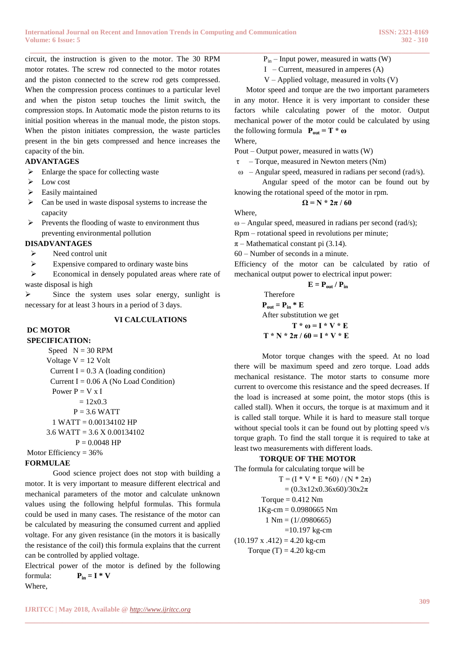**\_\_\_\_\_\_\_\_\_\_\_\_\_\_\_\_\_\_\_\_\_\_\_\_\_\_\_\_\_\_\_\_\_\_\_\_\_\_\_\_\_\_\_\_\_\_\_\_\_\_\_\_\_\_\_\_\_\_\_\_\_\_\_\_\_\_\_\_\_\_\_\_\_\_\_\_\_\_\_\_\_\_\_\_\_\_** circuit, the instruction is given to the motor. The 30 RPM motor rotates. The screw rod connected to the motor rotates and the piston connected to the screw rod gets compressed. When the compression process continues to a particular level and when the piston setup touches the limit switch, the compression stops. In Automatic mode the piston returns to its initial position whereas in the manual mode, the piston stops. When the piston initiates compression, the waste particles present in the bin gets compressed and hence increases the capacity of the bin.

### **ADVANTAGES**

- $\triangleright$  Enlarge the space for collecting waste
- $\triangleright$  Low cost
- $\triangleright$  Easily maintained
- $\triangleright$  Can be used in waste disposal systems to increase the capacity
- $\triangleright$  Prevents the flooding of waste to environment thus preventing environmental pollution

#### **DISADVANTAGES**

- $\triangleright$  Need control unit
- $\triangleright$  Expensive compared to ordinary waste bins

Economical in densely populated areas where rate of waste disposal is high

 $\triangleright$  Since the system uses solar energy, sunlight is necessary for at least 3 hours in a period of 3 days.

### **VI CALCULATIONS**

# **DC MOTOR**

**SPECIFICATION:**  Speed  $N = 30$  RPM Voltage  $V = 12$  Volt Current I =  $0.3$  A (loading condition) Current I =  $0.06$  A (No Load Condition) Power  $P = V x I$  $= 12x0.3$  $P = 3.6$  WATT 1 WATT = 0.00134102 HP 3.6 WATT = 3.6 X 0.00134102  $P = 0.0048$  HP Motor Efficiency = 36%

### **FORMULAE**

Good science project does not stop with building a motor. It is very important to measure different electrical and mechanical parameters of the motor and calculate unknown values using the following helpful formulas. This formula could be used in many cases. The resistance of the motor can be calculated by measuring the consumed current and applied voltage. For any given resistance (in the motors it is basically the resistance of the coil) this formula explains that the current can be controlled by applied voltage.

Electrical power of the motor is defined by the following formula:  $P_{in} = I * V$ Where,

- $P_{in}$  Input power, measured in watts (W)
- I Current, measured in amperes  $(A)$
- V Applied voltage, measured in volts (V)

 Motor speed and torque are the two important parameters in any motor. Hence it is very important to consider these factors while calculating power of the motor. Output mechanical power of the motor could be calculated by using the following formula  $P_{out} = T * \omega$ 

Where,

Pout – Output power, measured in watts (W)

- τ Torque, measured in Newton meters (Nm)
- ω Angular speed, measured in radians per second (rad/s).

Angular speed of the motor can be found out by knowing the rotational speed of the motor in rpm.

#### $Ω = N * 2π / 60$

Where,

ω – Angular speed, measured in radians per second (rad/s); Rpm – rotational speed in revolutions per minute;

 $\pi$  – Mathematical constant pi (3.14).

60 – Number of seconds in a minute.

Efficiency of the motor can be calculated by ratio of mechanical output power to electrical input power:

$$
E = P_{out} / P_{in}
$$
  
Therefore  

$$
P_{out} = P_{in} * E
$$
  
After substitution we get  

$$
T * \omega = I * V * E
$$

$$
T * N * 2\pi / 60 = I * V * E
$$

Motor torque changes with the speed. At no load there will be maximum speed and zero torque. Load adds mechanical resistance. The motor starts to consume more current to overcome this resistance and the speed decreases. If the load is increased at some point, the motor stops (this is called stall). When it occurs, the torque is at maximum and it is called stall torque. While it is hard to measure stall torque without special tools it can be found out by plotting speed v/s torque graph. To find the stall torque it is required to take at least two measurements with different loads.

### **TORQUE OF THE MOTOR**

The formula for calculating torque will be  $T = (I * V * E * 60) / (N * 2\pi)$  $= (0.3x12x0.36x60)/30x2\pi$ Torque  $= 0.412$  Nm 1Kg-cm = 0.0980665 Nm  $1 \text{ Nm} = (1/0.0980665)$  $=10.197$  kg-cm  $(10.197 \text{ x } .412) = 4.20 \text{ kg-cm}$ Torque  $(T) = 4.20$  kg-cm

**\_\_\_\_\_\_\_\_\_\_\_\_\_\_\_\_\_\_\_\_\_\_\_\_\_\_\_\_\_\_\_\_\_\_\_\_\_\_\_\_\_\_\_\_\_\_\_\_\_\_\_\_\_\_\_\_\_\_\_\_\_\_\_\_\_\_\_\_\_\_\_\_\_\_\_\_\_\_\_\_\_\_\_\_\_\_\_**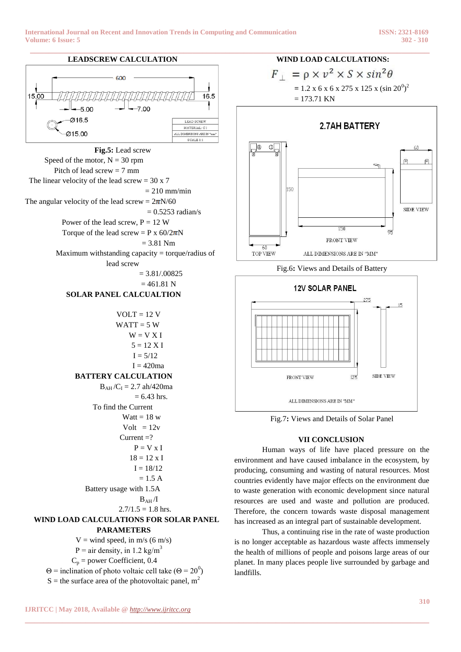